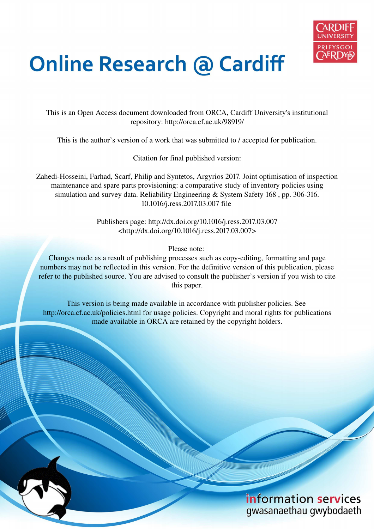

# **Online Research @ Cardiff**

This is an Open Access document downloaded from ORCA, Cardiff University's institutional repository: http://orca.cf.ac.uk/98919/

This is the author's version of a work that was submitted to / accepted for publication.

Citation for final published version:

Zahedi-Hosseini, Farhad, Scarf, Philip and Syntetos, Argyrios 2017. Joint optimisation of inspection maintenance and spare parts provisioning: a comparative study of inventory policies using simulation and survey data. Reliability Engineering & System Safety 168 , pp. 306-316. 10.1016/j.ress.2017.03.007 file

> Publishers page: http://dx.doi.org/10.1016/j.ress.2017.03.007 <http://dx.doi.org/10.1016/j.ress.2017.03.007>

> > Please note:

Changes made as a result of publishing processes such as copy-editing, formatting and page numbers may not be reflected in this version. For the definitive version of this publication, please refer to the published source. You are advised to consult the publisher's version if you wish to cite this paper.

This version is being made available in accordance with publisher policies. See http://orca.cf.ac.uk/policies.html for usage policies. Copyright and moral rights for publications made available in ORCA are retained by the copyright holders.

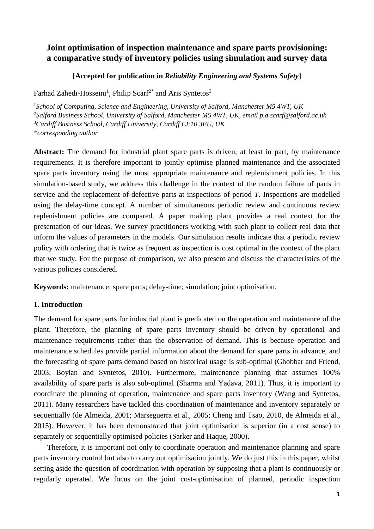# **Joint optimisation of inspection maintenance and spare parts provisioning: a comparative study of inventory policies using simulation and survey data**

# **[Accepted for publication in** *Reliability Engineering and Systems Safety***]**

Farhad Zahedi-Hosseini<sup>1</sup>, Philip Scarf<sup>2\*</sup> and Aris Syntetos<sup>3</sup>

*School of Computing, Science and Engineering, University of Salford, Manchester M5 4WT, UK Salford Business School, University of Salford, Manchester M5 4WT, UK, email p.a.scarf@salford.ac.uk Cardiff Business School, Cardiff University, Cardiff CF10 3EU, UK \*corresponding author* 

**Abstract:** The demand for industrial plant spare parts is driven, at least in part, by maintenance requirements. It is therefore important to jointly optimise planned maintenance and the associated spare parts inventory using the most appropriate maintenance and replenishment policies. In this simulation-based study, we address this challenge in the context of the random failure of parts in service and the replacement of defective parts at inspections of period *T*. Inspections are modelled using the delay-time concept. A number of simultaneous periodic review and continuous review replenishment policies are compared. A paper making plant provides a real context for the presentation of our ideas. We survey practitioners working with such plant to collect real data that inform the values of parameters in the models. Our simulation results indicate that a periodic review policy with ordering that is twice as frequent as inspection is cost optimal in the context of the plant that we study. For the purpose of comparison, we also present and discuss the characteristics of the various policies considered.

**Keywords:** maintenance; spare parts; delay-time; simulation; joint optimisation.

## **1. Introduction**

The demand for spare parts for industrial plant is predicated on the operation and maintenance of the plant. Therefore, the planning of spare parts inventory should be driven by operational and maintenance requirements rather than the observation of demand. This is because operation and maintenance schedules provide partial information about the demand for spare parts in advance, and the forecasting of spare parts demand based on historical usage is sub-optimal (Ghobbar and Friend, 2003; Boylan and Syntetos, 2010). Furthermore, maintenance planning that assumes 100% availability of spare parts is also sub-optimal (Sharma and Yadava, 2011). Thus, it is important to coordinate the planning of operation, maintenance and spare parts inventory (Wang and Syntetos, 2011). Many researchers have tackled this coordination of maintenance and inventory separately or sequentially (de Almeida, 2001; Marseguerra et al., 2005; Cheng and Tsao, 2010, de Almeida et al., 2015). However, it has been demonstrated that joint optimisation is superior (in a cost sense) to separately or sequentially optimised policies (Sarker and Haque, 2000).

Therefore, it is important not only to coordinate operation and maintenance planning and spare parts inventory control but also to carry out optimisation jointly. We do just this in this paper, whilst setting aside the question of coordination with operation by supposing that a plant is continuously or regularly operated. We focus on the joint cost-optimisation of planned, periodic inspection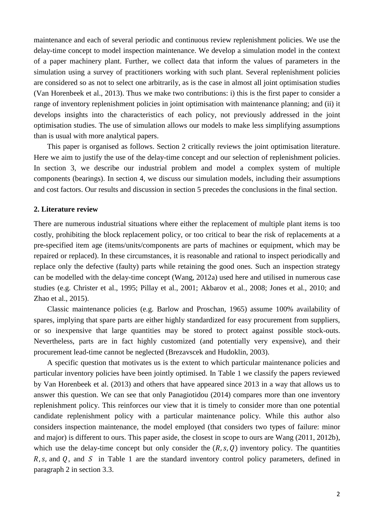maintenance and each of several periodic and continuous review replenishment policies. We use the delay-time concept to model inspection maintenance. We develop a simulation model in the context of a paper machinery plant. Further, we collect data that inform the values of parameters in the simulation using a survey of practitioners working with such plant. Several replenishment policies are considered so as not to select one arbitrarily, as is the case in almost all joint optimisation studies (Van Horenbeek et al., 2013). Thus we make two contributions: i) this is the first paper to consider a range of inventory replenishment policies in joint optimisation with maintenance planning; and (ii) it develops insights into the characteristics of each policy, not previously addressed in the joint optimisation studies. The use of simulation allows our models to make less simplifying assumptions than is usual with more analytical papers.

This paper is organised as follows. Section 2 critically reviews the joint optimisation literature. Here we aim to justify the use of the delay-time concept and our selection of replenishment policies. In section 3, we describe our industrial problem and model a complex system of multiple components (bearings). In section 4, we discuss our simulation models, including their assumptions and cost factors. Our results and discussion in section 5 precedes the conclusions in the final section.

#### **2. Literature review**

There are numerous industrial situations where either the replacement of multiple plant items is too costly, prohibiting the block replacement policy, or too critical to bear the risk of replacements at a pre-specified item age (items/units/components are parts of machines or equipment, which may be repaired or replaced). In these circumstances, it is reasonable and rational to inspect periodically and replace only the defective (faulty) parts while retaining the good ones. Such an inspection strategy can be modelled with the delay-time concept (Wang, 2012a) used here and utilised in numerous case studies (e.g. Christer et al., 1995; Pillay et al., 2001; Akbarov et al., 2008; Jones et al., 2010; and Zhao et al., 2015).

Classic maintenance policies (e.g. Barlow and Proschan, 1965) assume 100% availability of spares, implying that spare parts are either highly standardized for easy procurement from suppliers, or so inexpensive that large quantities may be stored to protect against possible stock-outs. Nevertheless, parts are in fact highly customized (and potentially very expensive), and their procurement lead-time cannot be neglected (Brezavscek and Hudoklin, 2003).

A specific question that motivates us is the extent to which particular maintenance policies and particular inventory policies have been jointly optimised. In Table 1 we classify the papers reviewed by Van Horenbeek et al. (2013) and others that have appeared since 2013 in a way that allows us to answer this question. We can see that only Panagiotidou (2014) compares more than one inventory replenishment policy. This reinforces our view that it is timely to consider more than one potential candidate replenishment policy with a particular maintenance policy. While this author also considers inspection maintenance, the model employed (that considers two types of failure: minor and major) is different to ours. This paper aside, the closest in scope to ours are Wang (2011, 2012b), which use the delay-time concept but only consider the  $(R, s, Q)$  inventory policy. The quantities  $R, s$ , and  $Q$ , and  $S$  in Table 1 are the standard inventory control policy parameters, defined in paragraph 2 in section 3.3.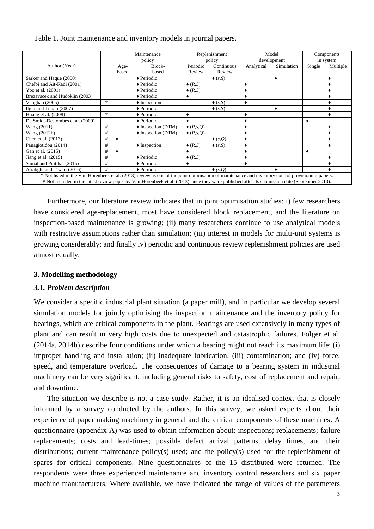| Table 1. Joint maintenance and inventory models in journal papers. |  |  |
|--------------------------------------------------------------------|--|--|
|                                                                    |  |  |

|                                                                                                                                                                                                                                                                                                                                                                                                                          |   | Maintenance |                              | Replenishment             |                        | Model      |             | Components |           |
|--------------------------------------------------------------------------------------------------------------------------------------------------------------------------------------------------------------------------------------------------------------------------------------------------------------------------------------------------------------------------------------------------------------------------|---|-------------|------------------------------|---------------------------|------------------------|------------|-------------|------------|-----------|
|                                                                                                                                                                                                                                                                                                                                                                                                                          |   |             | policy                       |                           | policy                 |            | development |            | in system |
| Author (Year)                                                                                                                                                                                                                                                                                                                                                                                                            |   | Age-        | Block-                       | Periodic                  | Continuous             | Analytical | Simulation  | Single     | Multiple  |
|                                                                                                                                                                                                                                                                                                                                                                                                                          |   | based       | based                        | Review                    | Review                 |            |             |            |           |
| Sarker and Haque (2000)                                                                                                                                                                                                                                                                                                                                                                                                  |   |             | $\triangle$ Periodic         |                           | $\blacklozenge (s, S)$ |            |             |            |           |
| Chelbi and Ait-Kadi (2001)                                                                                                                                                                                                                                                                                                                                                                                               |   |             | $\triangle$ Periodic         | $\blacklozenge (R,S)$     |                        |            |             |            |           |
| Yoo et al. (2001)                                                                                                                                                                                                                                                                                                                                                                                                        |   |             | $\bullet$ Periodic           | $\blacklozenge (R,S)$     |                        |            |             |            |           |
| Brezavscek and Hudoklin (2003)                                                                                                                                                                                                                                                                                                                                                                                           |   |             | $\triangle$ Periodic         |                           |                        |            |             |            |           |
| Vaughan (2005)                                                                                                                                                                                                                                                                                                                                                                                                           | * |             | $\triangle$ Inspection       |                           | $\blacklozenge (s, S)$ |            |             |            |           |
| Ilgin and Tunali (2007)                                                                                                                                                                                                                                                                                                                                                                                                  |   |             | $\triangle$ Periodic         |                           | $\blacklozenge (s, S)$ |            |             |            |           |
| Huang et al. $(2008)$                                                                                                                                                                                                                                                                                                                                                                                                    | * |             | $\triangle$ Periodic         |                           |                        |            |             |            |           |
| De Smidt-Destombes et al. (2009)                                                                                                                                                                                                                                                                                                                                                                                         |   |             | $\triangle$ Periodic         |                           |                        |            |             |            |           |
| Wang (2011)                                                                                                                                                                                                                                                                                                                                                                                                              | # |             | $\triangle$ Inspection (DTM) | $\blacklozenge (R, s, Q)$ |                        |            |             |            |           |
| Wang (2012b)                                                                                                                                                                                                                                                                                                                                                                                                             | # |             | $\triangle$ Inspection (DTM) | $\blacklozenge (R, s, Q)$ |                        |            |             |            |           |
| Chen et al. (2013)                                                                                                                                                                                                                                                                                                                                                                                                       | # |             |                              |                           | $\bullet$ (s,Q)        |            |             |            |           |
| Panagiotidou (2014)                                                                                                                                                                                                                                                                                                                                                                                                      | # |             | $\triangle$ Inspection       | $\blacklozenge (R,S)$     | $\blacklozenge (s, S)$ |            |             |            |           |
| Gan et al. (2015)                                                                                                                                                                                                                                                                                                                                                                                                        | # |             |                              |                           |                        |            |             |            |           |
| Jiang et al. $(2015)$                                                                                                                                                                                                                                                                                                                                                                                                    | # |             | $\blacklozenge$ Periodic     | $\blacklozenge (R,S)$     |                        |            |             |            |           |
| Samal and Pratihar (2015)                                                                                                                                                                                                                                                                                                                                                                                                | # |             | $\triangle$ Periodic         |                           |                        |            |             |            |           |
| Alrabghi and Tiwari (2016)                                                                                                                                                                                                                                                                                                                                                                                               | # |             | $\triangle$ Periodic         |                           | $\blacklozenge$ (s,Q)  |            |             |            |           |
| * Not listed in the Van Horenbeek et al. (2013) review as one of the joint optimisation of maintenance and inventory control provisioning papers.<br>$1131 + 1111 + 111 + 1111 + 1111 + 1111 + 1111 + 1111 + 1111 + 1111 + 1111 + 1111 + 1111 + 1111 + 1111 + 1111 + 1111 + 1111 + 1111 + 1111 + 1111 + 1111 + 1111 + 1111 + 1111 + 1111 + 1111 + 1111 + 1111 + 1111 + 1111 + 1111 + 1111 + 1111 + 1111 + 1111 + 1111 +$ |   |             |                              |                           |                        |            |             |            |           |

# Not included in the latest review paper by Van Horenbeek et al. (2013) since they were published after its submission date (September 2010).

Furthermore, our literature review indicates that in joint optimisation studies: i) few researchers have considered age-replacement, most have considered block replacement, and the literature on inspection-based maintenance is growing; (ii) many researchers continue to use analytical models with restrictive assumptions rather than simulation; (iii) interest in models for multi-unit systems is growing considerably; and finally iv) periodic and continuous review replenishment policies are used almost equally.

# **3. Modelling methodology**

## *3.1. Problem description*

We consider a specific industrial plant situation (a paper mill), and in particular we develop several simulation models for jointly optimising the inspection maintenance and the inventory policy for bearings, which are critical components in the plant. Bearings are used extensively in many types of plant and can result in very high costs due to unexpected and catastrophic failures. Folger et al. (2014a, 2014b) describe four conditions under which a bearing might not reach its maximum life: (i) improper handling and installation; (ii) inadequate lubrication; (iii) contamination; and (iv) force, speed, and temperature overload. The consequences of damage to a bearing system in industrial machinery can be very significant, including general risks to safety, cost of replacement and repair, and downtime.

The situation we describe is not a case study. Rather, it is an idealised context that is closely informed by a survey conducted by the authors. In this survey, we asked experts about their experience of paper making machinery in general and the critical components of these machines. A questionnaire (appendix A) was used to obtain information about: inspections; replacements; failure replacements; costs and lead-times; possible defect arrival patterns, delay times, and their distributions; current maintenance policy(s) used; and the policy(s) used for the replenishment of spares for critical components. Nine questionnaires of the 15 distributed were returned. The respondents were three experienced maintenance and inventory control researchers and six paper machine manufacturers. Where available, we have indicated the range of values of the parameters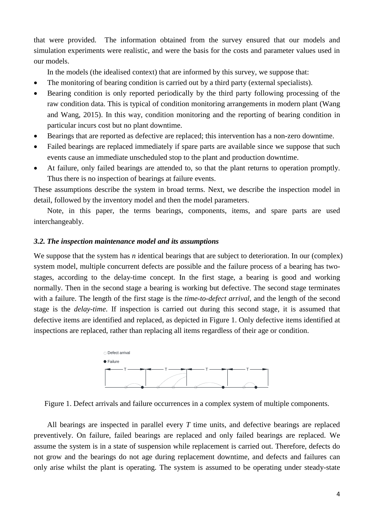that were provided. The information obtained from the survey ensured that our models and simulation experiments were realistic, and were the basis for the costs and parameter values used in our models.

In the models (the idealised context) that are informed by this survey, we suppose that:

- The monitoring of bearing condition is carried out by a third party (external specialists).
- Bearing condition is only reported periodically by the third party following processing of the raw condition data. This is typical of condition monitoring arrangements in modern plant (Wang and Wang, 2015). In this way, condition monitoring and the reporting of bearing condition in particular incurs cost but no plant downtime.
- Bearings that are reported as defective are replaced; this intervention has a non-zero downtime.
- Failed bearings are replaced immediately if spare parts are available since we suppose that such events cause an immediate unscheduled stop to the plant and production downtime.
- At failure, only failed bearings are attended to, so that the plant returns to operation promptly. Thus there is no inspection of bearings at failure events.

These assumptions describe the system in broad terms. Next, we describe the inspection model in detail, followed by the inventory model and then the model parameters.

Note, in this paper, the terms bearings, components, items, and spare parts are used interchangeably.

# *3.2. The inspection maintenance model and its assumptions*

We suppose that the system has *n* identical bearings that are subject to deterioration. In our (complex) system model, multiple concurrent defects are possible and the failure process of a bearing has twostages, according to the delay-time concept. In the first stage, a bearing is good and working normally. Then in the second stage a bearing is working but defective. The second stage terminates with a failure. The length of the first stage is the *time-to-defect arrival*, and the length of the second stage is the *delay-time*. If inspection is carried out during this second stage, it is assumed that defective items are identified and replaced, as depicted in Figure 1. Only defective items identified at inspections are replaced, rather than replacing all items regardless of their age or condition.



Figure 1. Defect arrivals and failure occurrences in a complex system of multiple components.

All bearings are inspected in parallel every *T* time units, and defective bearings are replaced preventively. On failure, failed bearings are replaced and only failed bearings are replaced. We assume the system is in a state of suspension while replacement is carried out. Therefore, defects do not grow and the bearings do not age during replacement downtime, and defects and failures can only arise whilst the plant is operating. The system is assumed to be operating under steady-state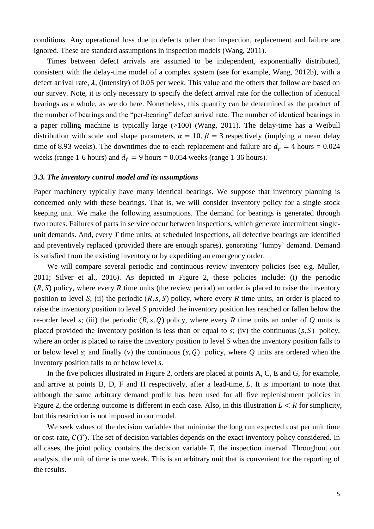conditions. Any operational loss due to defects other than inspection, replacement and failure are ignored. These are standard assumptions in inspection models (Wang, 2011).

Times between defect arrivals are assumed to be independent, exponentially distributed, consistent with the delay-time model of a complex system (see for example, Wang, 2012b), with a defect arrival rate,  $\lambda$ , (intensity) of 0.05 per week. This value and the others that follow are based on our survey. Note, it is only necessary to specify the defect arrival rate for the collection of identical bearings as a whole, as we do here. Nonetheless, this quantity can be determined as the product of the number of bearings and the "per-bearing" defect arrival rate. The number of identical bearings in a paper rolling machine is typically large (>100) (Wang, 2011). The delay-time has a Weibull distribution with scale and shape parameters,  $\alpha = 10$ ,  $\beta = 3$  respectively (implying a mean delay time of 8.93 weeks). The downtimes due to each replacement and failure are  $d_r = 4$  hours = 0.024 weeks (range 1-6 hours) and  $d_f = 9$  hours = 0.054 weeks (range 1-36 hours).

#### *3.3. The inventory control model and its assumptions*

Paper machinery typically have many identical bearings. We suppose that inventory planning is concerned only with these bearings. That is, we will consider inventory policy for a single stock keeping unit. We make the following assumptions. The demand for bearings is generated through two routes. Failures of parts in service occur between inspections, which generate intermittent singleunit demands. And, every *T* time units, at scheduled inspections, all defective bearings are identified and preventively replaced (provided there are enough spares), generating 'lumpy' demand. Demand is satisfied from the existing inventory or by expediting an emergency order.

We will compare several periodic and continuous review inventory policies (see e.g. Muller, 2011; Silver et al., 2016). As depicted in Figure 2, these policies include: (i) the periodic  $(R, S)$  policy, where every *R* time units (the review period) an order is placed to raise the inventory position to level *S*; (ii) the periodic  $(R, s, S)$  policy, where every *R* time units, an order is placed to raise the inventory position to level *S* provided the inventory position has reached or fallen below the re-order level *s*; (iii) the periodic  $(R, s, Q)$  policy, where every *R* time units an order of *Q* units is placed provided the inventory position is less than or equal to  $s$ ; (iv) the continuous  $(s, S)$  policy, where an order is placed to raise the inventory position to level *S* when the inventory position falls to or below level *s*; and finally (v) the continuous  $(s, Q)$  policy, where  $Q$  units are ordered when the inventory position falls to or below level *s*.

In the five policies illustrated in Figure 2, orders are placed at points A, C, E and G, for example, and arrive at points B, D, F and H respectively, after a lead-time,  $L$ . It is important to note that although the same arbitrary demand profile has been used for all five replenishment policies in Figure 2, the ordering outcome is different in each case. Also, in this illustration  $L < R$  for simplicity, but this restriction is not imposed in our model.

We seek values of the decision variables that minimise the long run expected cost per unit time or cost-rate,  $C(T)$ . The set of decision variables depends on the exact inventory policy considered. In all cases, the joint policy contains the decision variable *T,* the inspection interval. Throughout our analysis, the unit of time is one week. This is an arbitrary unit that is convenient for the reporting of the results.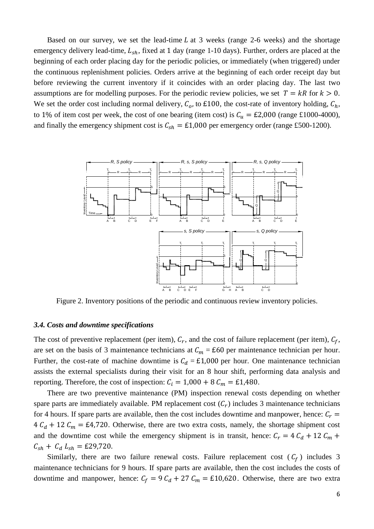Based on our survey, we set the lead-time  $L$  at 3 weeks (range 2-6 weeks) and the shortage emergency delivery lead-time,  $L_{sh}$ , fixed at 1 day (range 1-10 days). Further, orders are placed at the beginning of each order placing day for the periodic policies, or immediately (when triggered) under the continuous replenishment policies. Orders arrive at the beginning of each order receipt day but before reviewing the current inventory if it coincides with an order placing day. The last two assumptions are for modelling purposes. For the periodic review policies, we set  $T = kR$  for  $k > 0$ . We set the order cost including normal delivery,  $C_o$ , to £100, the cost-rate of inventory holding,  $C_h$ , to 1% of item cost per week, the cost of one bearing (item cost) is  $C_u = \text{\pounds}2,000$  (range £1000-4000), and finally the emergency shipment cost is  $C_{sh} = \text{\textsterling}1,000$  per emergency order (range £500-1200).



Figure 2. Inventory positions of the periodic and continuous review inventory policies.

#### *3.4. Costs and downtime specifications*

The cost of preventive replacement (per item),  $C_r$ , and the cost of failure replacement (per item),  $C_f$ , are set on the basis of 3 maintenance technicians at  $C_m = \text{\pounds}60$  per maintenance technician per hour. Further, the cost-rate of machine downtime is  $C_d = \text{\pounds}1,000$  per hour. One maintenance technician assists the external specialists during their visit for an 8 hour shift, performing data analysis and reporting. Therefore, the cost of inspection:  $C_i = 1,000 + 8 C_m = \text{\textsterling}1,480$ .

There are two preventive maintenance (PM) inspection renewal costs depending on whether spare parts are immediately available. PM replacement cost  $(C_r)$  includes 3 maintenance technicians for 4 hours. If spare parts are available, then the cost includes downtime and manpower, hence:  $C_r$  =  $4 C_d + 12 C_m = \text{\textsterling}4,720$ . Otherwise, there are two extra costs, namely, the shortage shipment cost and the downtime cost while the emergency shipment is in transit, hence:  $C_r = 4 C_d + 12 C_m +$  $C_{sh} + C_d L_{sh} = \text{\pounds}29,720.$ 

Similarly, there are two failure renewal costs. Failure replacement cost  $(C_f)$  includes 3 maintenance technicians for 9 hours. If spare parts are available, then the cost includes the costs of downtime and manpower, hence:  $C_f = 9 C_d + 27 C_m = \text{\textsterling}10,620$ . Otherwise, there are two extra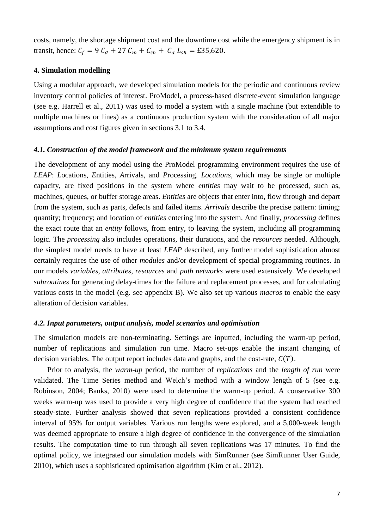costs, namely, the shortage shipment cost and the downtime cost while the emergency shipment is in transit, hence:  $C_f = 9 C_d + 27 C_m + C_{sh} + C_d L_{sh} = \text{\pounds}35,620.$ 

#### **4. Simulation modelling**

Using a modular approach, we developed simulation models for the periodic and continuous review inventory control policies of interest. ProModel, a process-based discrete-event simulation language (see e.g. Harrell et al., 2011) was used to model a system with a single machine (but extendible to multiple machines or lines) as a continuous production system with the consideration of all major assumptions and cost figures given in sections 3.1 to 3.4.

#### *4.1. Construction of the model framework and the minimum system requirements*

The development of any model using the ProModel programming environment requires the use of *LEAP*: *L*ocations, *E*ntities, *A*rrivals, and *P*rocessing. *Locations*, which may be single or multiple capacity, are fixed positions in the system where *entities* may wait to be processed, such as, machines, queues, or buffer storage areas. *Entities* are objects that enter into, flow through and depart from the system, such as parts, defects and failed items. *Arrivals* describe the precise pattern: timing; quantity; frequency; and location of *entities* entering into the system. And finally, *processing* defines the exact route that an *entity* follows, from entry, to leaving the system, including all programming logic. The *processing* also includes operations, their durations, and the *resources* needed. Although, the simplest model needs to have at least *LEAP* described, any further model sophistication almost certainly requires the use of other *modules* and/or development of special programming routines. In our models *variables, attributes, resources* and *path networks* were used extensively. We developed *subroutines* for generating delay-times for the failure and replacement processes, and for calculating various costs in the model (e.g. see appendix B). We also set up various *macros* to enable the easy alteration of decision variables.

#### *4.2. Input parameters, output analysis, model scenarios and optimisation*

The simulation models are non-terminating. Settings are inputted, including the warm-up period, number of replications and simulation run time. Macro set-ups enable the instant changing of decision variables. The output report includes data and graphs, and the cost-rate,  $C(T)$ .

Prior to analysis, the *warm-up* period, the number of *replications* and the *length of run* were validated. The Time Series method and Welch's method with a window length of 5 (see e.g. Robinson, 2004; Banks, 2010) were used to determine the warm-up period. A conservative 300 weeks warm-up was used to provide a very high degree of confidence that the system had reached steady-state. Further analysis showed that seven replications provided a consistent confidence interval of 95% for output variables. Various run lengths were explored, and a 5,000-week length was deemed appropriate to ensure a high degree of confidence in the convergence of the simulation results. The computation time to run through all seven replications was 17 minutes. To find the optimal policy, we integrated our simulation models with SimRunner (see SimRunner User Guide, 2010), which uses a sophisticated optimisation algorithm (Kim et al., 2012).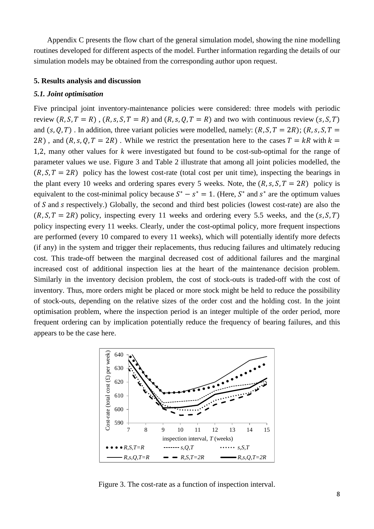Appendix C presents the flow chart of the general simulation model, showing the nine modelling routines developed for different aspects of the model. Further information regarding the details of our simulation models may be obtained from the corresponding author upon request.

#### **5. Results analysis and discussion**

#### *5.1. Joint optimisation*

Five principal joint inventory-maintenance policies were considered: three models with periodic review  $(R, S, T = R)$ ,  $(R, s, S, T = R)$  and  $(R, s, Q, T = R)$  and two with continuous review  $(s, S, T)$ and  $(S, Q, T)$ . In addition, three variant policies were modelled, namely:  $(R, S, T = 2R)$ ;  $(R, S, S, T = 2R)$ 2R), and  $(R, s, Q, T = 2R)$ . While we restrict the presentation here to the cases  $T = kR$  with  $k =$ 1,2, many other values for *k* were investigated but found to be cost-sub-optimal for the range of parameter values we use. Figure 3 and Table 2 illustrate that among all joint policies modelled, the  $(R, S, T = 2R)$  policy has the lowest cost-rate (total cost per unit time), inspecting the bearings in the plant every 10 weeks and ordering spares every 5 weeks. Note, the  $(R, s, S, T = 2R)$  policy is equivalent to the cost-minimal policy because  $S^* - s^* = 1$ . (Here,  $S^*$  and  $s^*$  are the optimum values of S and s respectively.) Globally, the second and third best policies (lowest cost-rate) are also the  $(R, S, T = 2R)$  policy, inspecting every 11 weeks and ordering every 5.5 weeks, and the  $(S, S, T)$ policy inspecting every 11 weeks. Clearly, under the cost-optimal policy, more frequent inspections are performed (every 10 compared to every 11 weeks), which will potentially identify more defects (if any) in the system and trigger their replacements, thus reducing failures and ultimately reducing cost. This trade-off between the marginal decreased cost of additional failures and the marginal increased cost of additional inspection lies at the heart of the maintenance decision problem. Similarly in the inventory decision problem, the cost of stock-outs is traded-off with the cost of inventory. Thus, more orders might be placed or more stock might be held to reduce the possibility of stock-outs, depending on the relative sizes of the order cost and the holding cost. In the joint optimisation problem, where the inspection period is an integer multiple of the order period, more frequent ordering can by implication potentially reduce the frequency of bearing failures, and this appears to be the case here.



Figure 3. The cost-rate as a function of inspection interval.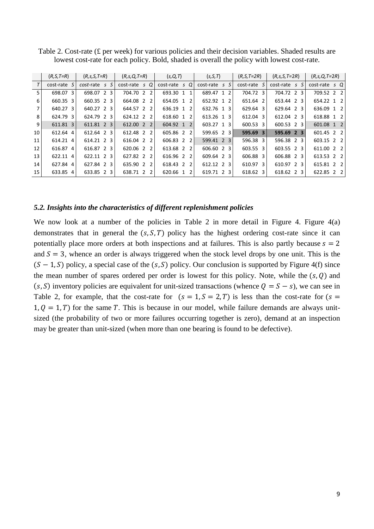|                 | $(R, S, T=R)$ | $(R, S, S, T=R)$ | $(R, S, Q, T=R)$ | (s,Q,T)        | (s, S, T)                  | $(R, S, T=2R)$ | $(R, S, S, T = 2R)$ | $(R, S, Q, T = 2R)$ |  |
|-----------------|---------------|------------------|------------------|----------------|----------------------------|----------------|---------------------|---------------------|--|
|                 | $cost-rate S$ | cost-rate s S    | $cost-rate s Q$  | $cost-rate sQ$ | $cost-rate$ s S            | $cost-rate S$  | $cost-rate$ s S     | $cost-rate sQ$      |  |
| 5               | 698.07 3      | 698.07 2 3       | 704.70 2 2       | 693.30 1 1     | 689.47 1<br>$\overline{2}$ | 704.72 3       | 704.72 2 3          | 709.52 2 2          |  |
| 6               | 660.35 3      | 660.35 2 3       | 664.08 2 2       | 654.05 1 2     | 652.92 1 2                 | 651.64 2       | 653.44 2 3          | 654.22 1 2          |  |
| $\overline{7}$  | 640.27 3      | 640.27 2 3       | 644.57 2 2       | 636.19 1 2     | 632.76 1 3                 | 629.64 3       | 629.64 2 3          | 636.09 1 2          |  |
| 8               | 624.79 3      | 624.79 2 3       | 624.12 2 2       | 618.60 1 2     | 613.26 1 3                 | 612.04 3       | 612.04 2 3          | 618.88 1 2          |  |
| 9 <sup>1</sup>  | 611.81 3      | 611.81 2 3       | 612.00 2 2       | 604.92 1 2     | $603.27$ 1 3               | 600.53 3       | 600.53 2 3          | 601.08 1 2          |  |
| 10 <sub>l</sub> | 612.64 4      | 612.64 2 3       | 612.48 2 2       | 605.86 2 2     | 599.65 2 3                 | 595.69 3       | 595.69 2 3          | $601.45$ 2 2        |  |
| 11              | 614.21 4      | 614.21 2 3       | 616.04 2 2       | 606.83 2 2     | 599.41 2 3                 | 596.38 3       | 596.38 2 3          | 603.15 2 2          |  |
| 12              | 616.87 4      | 616.87 2 3       | 620.06 2 2       | 613.68 2 2     | 606.60 2 3                 | 603.55 3       | 603.55 2 3          | 611.00 2 2          |  |
| 13              | 622.11 4      | 622.11 2 3       | 627.82 2 2       | 616.96 2 2     | 609.64 2 3                 | 606.88 3       | 606.88 2 3          | 613.53 2 2          |  |
| 14              | 627.84 4      | 627.84 2 3       | 635.90 2 2       | 618.43 2 2     | 612.12 2 3                 | 610.97 3       | 610.97 2 3          | 615.81 2 2          |  |
| 15              | 633.85 4      | 633.85 2 3       | 638.71 2 2       | 620.66 1 2     | 619.71 2 3                 | 618.62 3       | 618.62 2 3          | $622.85$ 2 2        |  |

Table 2. Cost-rate (£ per week) for various policies and their decision variables. Shaded results are lowest cost-rate for each policy. Bold, shaded is overall the policy with lowest cost-rate.

#### *5.2. Insights into the characteristics of different replenishment policies*

We now look at a number of the policies in Table 2 in more detail in Figure 4. Figure 4(a) demonstrates that in general the  $(s, S, T)$  policy has the highest ordering cost-rate since it can potentially place more orders at both inspections and at failures. This is also partly because  $s = 2$ and  $S = 3$ , whence an order is always triggered when the stock level drops by one unit. This is the  $(S - 1, S)$  policy, a special case of the  $(s, S)$  policy. Our conclusion is supported by Figure 4(f) since the mean number of spares ordered per order is lowest for this policy. Note, while the  $(s, Q)$  and  $(s, S)$  inventory policies are equivalent for unit-sized transactions (whence  $\hat{O} = S - s$ ), we can see in Table 2, for example, that the cost-rate for  $(s = 1, S = 2, T)$  is less than the cost-rate for  $(s = 1, S = 2, T)$  $1, Q = 1, T$  for the same T. This is because in our model, while failure demands are always unitsized (the probability of two or more failures occurring together is zero), demand at an inspection may be greater than unit-sized (when more than one bearing is found to be defective).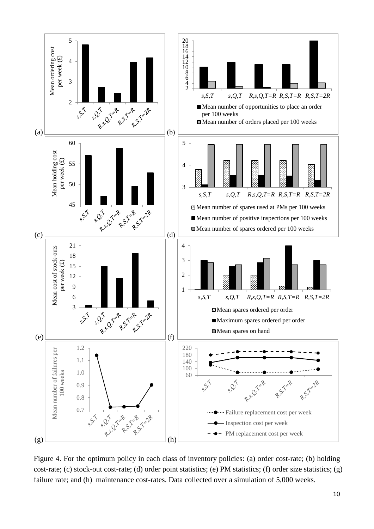

Figure 4. For the optimum policy in each class of inventory policies: (a) order cost-rate; (b) holding cost-rate; (c) stock-out cost-rate; (d) order point statistics; (e) PM statistics; (f) order size statistics; (g) failure rate; and (h) maintenance cost-rates. Data collected over a simulation of 5,000 weeks.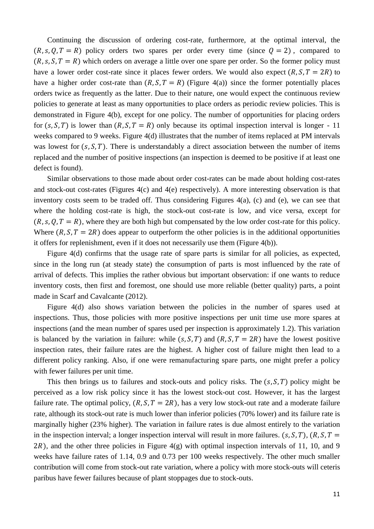Continuing the discussion of ordering cost-rate, furthermore, at the optimal interval, the  $(R, s, Q, T = R)$  policy orders two spares per order every time (since  $Q = 2$ ), compared to  $(R, s, S, T = R)$  which orders on average a little over one spare per order. So the former policy must have a lower order cost-rate since it places fewer orders. We would also expect  $(R, S, T = 2R)$  to have a higher order cost-rate than  $(R, S, T = R)$  (Figure 4(a)) since the former potentially places orders twice as frequently as the latter. Due to their nature, one would expect the continuous review policies to generate at least as many opportunities to place orders as periodic review policies. This is demonstrated in Figure 4(b), except for one policy. The number of opportunities for placing orders for  $(s, S, T)$  is lower than  $(R, S, T = R)$  only because its optimal inspection interval is longer - 11 weeks compared to 9 weeks. Figure 4(d) illustrates that the number of items replaced at PM intervals was lowest for  $(s, S, T)$ . There is understandably a direct association between the number of items replaced and the number of positive inspections (an inspection is deemed to be positive if at least one defect is found).

Similar observations to those made about order cost-rates can be made about holding cost-rates and stock-out cost-rates (Figures 4(c) and 4(e) respectively). A more interesting observation is that inventory costs seem to be traded off. Thus considering Figures 4(a), (c) and (e), we can see that where the holding cost-rate is high, the stock-out cost-rate is low, and vice versa, except for  $(R, s, Q, T = R)$ , where they are both high but compensated by the low order cost-rate for this policy. Where  $(R, S, T = 2R)$  does appear to outperform the other policies is in the additional opportunities it offers for replenishment, even if it does not necessarily use them (Figure 4(b)).

Figure 4(d) confirms that the usage rate of spare parts is similar for all policies, as expected, since in the long run (at steady state) the consumption of parts is most influenced by the rate of arrival of defects. This implies the rather obvious but important observation: if one wants to reduce inventory costs, then first and foremost, one should use more reliable (better quality) parts, a point made in Scarf and Cavalcante (2012).

Figure 4(d) also shows variation between the policies in the number of spares used at inspections. Thus, those policies with more positive inspections per unit time use more spares at inspections (and the mean number of spares used per inspection is approximately 1.2). This variation is balanced by the variation in failure: while  $(s, S, T)$  and  $(R, S, T = 2R)$  have the lowest positive inspection rates, their failure rates are the highest. A higher cost of failure might then lead to a different policy ranking. Also, if one were remanufacturing spare parts, one might prefer a policy with fewer failures per unit time.

This then brings us to failures and stock-outs and policy risks. The  $(s, S, T)$  policy might be perceived as a low risk policy since it has the lowest stock-out cost. However, it has the largest failure rate. The optimal policy,  $(R, S, T = 2R)$ , has a very low stock-out rate and a moderate failure rate, although its stock-out rate is much lower than inferior policies (70% lower) and its failure rate is marginally higher (23% higher). The variation in failure rates is due almost entirely to the variation in the inspection interval; a longer inspection interval will result in more failures.  $(s, S, T)$ ,  $(R, S, T =$  $2R$ , and the other three policies in Figure  $4(g)$  with optimal inspection intervals of 11, 10, and 9 weeks have failure rates of 1.14, 0.9 and 0.73 per 100 weeks respectively. The other much smaller contribution will come from stock-out rate variation, where a policy with more stock-outs will ceteris paribus have fewer failures because of plant stoppages due to stock-outs.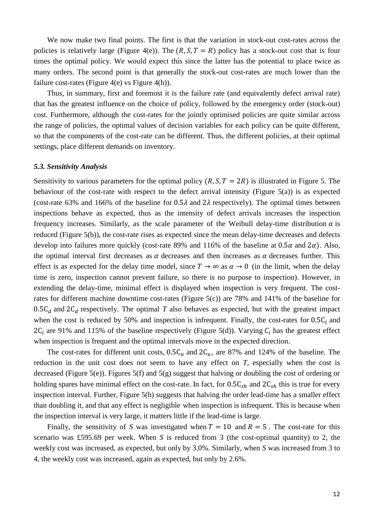We now make two final points. The first is that the variation in stock-out cost-rates across the policies is relatively large (Figure 4(e)). The  $(R, S, T = R)$  policy has a stock-out cost that is four times the optimal policy. We would expect this since the latter has the potential to place twice as many orders. The second point is that generally the stock-out cost-rates are much lower than the failure cost-rates (Figure 4(e) vs Figure 4(h)).

Thus, in summary, first and foremost it is the failure rate (and equivalently defect arrival rate) that has the greatest influence on the choice of policy, followed by the emergency order (stock-out) cost. Furthermore, although the cost-rates for the jointly optimised policies are quite similar across the range of policies, the optimal values of decision variables for each policy can be quite different, so that the components of the cost-rate can be different. Thus, the different policies, at their optimal settings, place different demands on inventory.

#### *5.3. Sensitivity Analysis*

Sensitivity to various parameters for the optimal policy  $(R, S, T = 2R)$  is illustrated in Figure 5. The behaviour of the cost-rate with respect to the defect arrival intensity (Figure 5(a)) is as expected (cost-rate 63% and 166% of the baseline for 0.5 $\lambda$  and  $2\lambda$  respectively). The optimal times between inspections behave as expected, thus as the intensity of defect arrivals increases the inspection frequency increases. Similarly, as the scale parameter of the Weibull delay-time distribution α is reduced (Figure 5(b)), the cost-rate rises as expected since the mean delay-time decreases and defects develop into failures more quickly (cost-rate 89% and 116% of the baseline at  $0.5\alpha$  and  $2\alpha$ ). Also, the optimal interval first decreases as  $\alpha$  decreases and then increases as  $\alpha$  decreases further. This effect is as expected for the delay time model, since  $T \to \infty$  as  $\alpha \to 0$  (in the limit, when the delay time is zero, inspection cannot prevent failure, so there is no purpose to inspection). However, in extending the delay-time, minimal effect is displayed when inspection is very frequent. The costrates for different machine downtime cost-rates (Figure 5(c)) are 78% and 141% of the baseline for  $0.5C_d$  and  $2C_d$  respectively. The optimal *T* also behaves as expected, but with the greatest impact when the cost is reduced by 50% and inspection is infrequent. Finally, the cost-rates for  $0.5C_i$  and  $2C_i$  are 91% and 115% of the baseline respectively (Figure 5(d)). Varying  $C_i$  has the greatest effect when inspection is frequent and the optimal intervals move in the expected direction.

The cost-rates for different unit costs,  $0.5C_u$  and  $2C_u$ , are 87% and 124% of the baseline. The reduction in the unit cost does not seem to have any effect on *T*, especially when the cost is decreased (Figure 5(e)). Figures 5(f) and 5(g) suggest that halving or doubling the cost of ordering or holding spares have minimal effect on the cost-rate. In fact, for  $0.5C_{sh}$  and  $2C_{sh}$  this is true for every inspection interval. Further, Figure 5(h) suggests that halving the order lead-time has a smaller effect than doubling it, and that any effect is negligible when inspection is infrequent. This is because when the inspection interval is very large, it matters little if the lead-time is large.

Finally, the sensitivity of *S* was investigated when  $T = 10$  and  $R = 5$ . The cost-rate for this scenario was £595.69 per week. When *S* is reduced from 3 (the cost-optimal quantity) to 2, the weekly cost was increased, as expected, but only by 3.0%. Similarly, when *S* was increased from 3 to 4, the weekly cost was increased, again as expected, but only by 2.6%.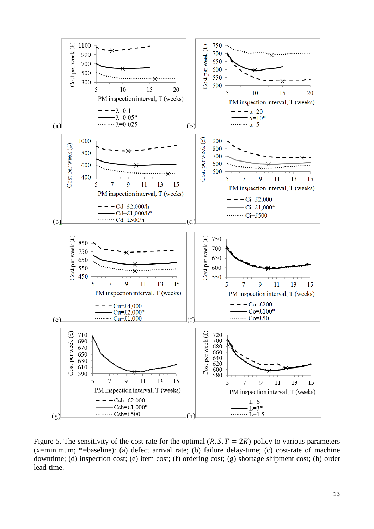

Figure 5. The sensitivity of the cost-rate for the optimal  $(R, S, T = 2R)$  policy to various parameters (x=minimum; \*=baseline): (a) defect arrival rate; (b) failure delay-time; (c) cost-rate of machine downtime; (d) inspection cost; (e) item cost; (f) ordering cost; (g) shortage shipment cost; (h) order lead-time.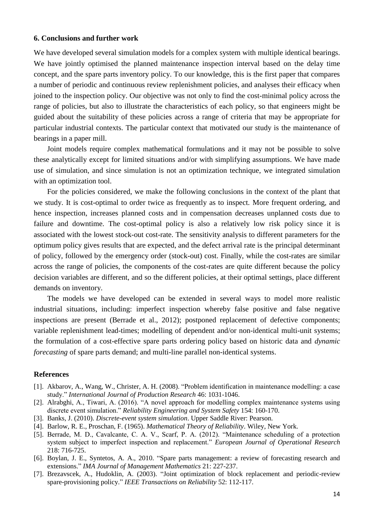#### **6. Conclusions and further work**

We have developed several simulation models for a complex system with multiple identical bearings. We have jointly optimised the planned maintenance inspection interval based on the delay time concept, and the spare parts inventory policy. To our knowledge, this is the first paper that compares a number of periodic and continuous review replenishment policies, and analyses their efficacy when joined to the inspection policy. Our objective was not only to find the cost-minimal policy across the range of policies, but also to illustrate the characteristics of each policy, so that engineers might be guided about the suitability of these policies across a range of criteria that may be appropriate for particular industrial contexts. The particular context that motivated our study is the maintenance of bearings in a paper mill.

Joint models require complex mathematical formulations and it may not be possible to solve these analytically except for limited situations and/or with simplifying assumptions. We have made use of simulation, and since simulation is not an optimization technique, we integrated simulation with an optimization tool.

For the policies considered, we make the following conclusions in the context of the plant that we study. It is cost-optimal to order twice as frequently as to inspect. More frequent ordering, and hence inspection, increases planned costs and in compensation decreases unplanned costs due to failure and downtime. The cost-optimal policy is also a relatively low risk policy since it is associated with the lowest stock-out cost-rate. The sensitivity analysis to different parameters for the optimum policy gives results that are expected, and the defect arrival rate is the principal determinant of policy, followed by the emergency order (stock-out) cost. Finally, while the cost-rates are similar across the range of policies, the components of the cost-rates are quite different because the policy decision variables are different, and so the different policies, at their optimal settings, place different demands on inventory.

The models we have developed can be extended in several ways to model more realistic industrial situations, including: imperfect inspection whereby false positive and false negative inspections are present (Berrade et al., 2012); postponed replacement of defective components; variable replenishment lead-times; modelling of dependent and/or non-identical multi-unit systems; the formulation of a cost-effective spare parts ordering policy based on historic data and *dynamic forecasting* of spare parts demand; and multi-line parallel non-identical systems.

#### **References**

- [1]. Akbarov, A., Wang, W., Christer, A. H. (2008). "Problem identification in maintenance modelling: a case study." *International Journal of Production Research* 46: 1031-1046.
- [2]. Alrabghi, A., Tiwari, A. (2016). "A novel approach for modelling complex maintenance systems using discrete event simulation." *Reliability Engineering and System Safety* 154: 160-170.
- [3]. Banks, J. (2010). *Discrete-event system simulation*. Upper Saddle River: Pearson.
- [4]. Barlow, R. E., Proschan, F. (1965). *Mathematical Theory of Reliability*. Wiley, New York.
- [5]. Berrade, M. D., Cavalcante, C. A. V., Scarf, P. A. (2012). "Maintenance scheduling of a protection system subject to imperfect inspection and replacement." *European Journal of Operational Research* 218: 716-725.
- [6]. Boylan, J. E., Syntetos, A. A., 2010. "Spare parts management: a review of forecasting research and extensions." *IMA Journal of Management Mathematics* 21: 227-237.
- [7]. Brezavscek, A., Hudoklin, A. (2003). "Joint optimization of block replacement and periodic-review spare-provisioning policy." *IEEE Transactions on Reliability* 52: 112-117.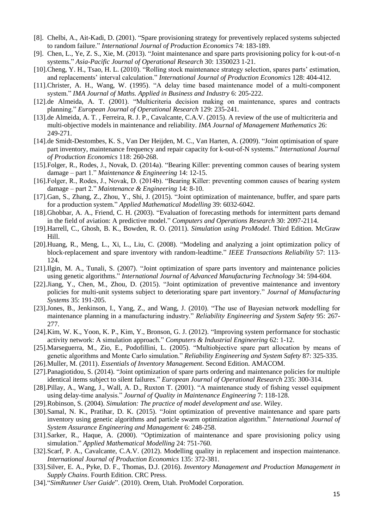- [8]. Chelbi, A., Ait-Kadi, D. (2001). "Spare provisioning strategy for preventively replaced systems subjected to random failure." *International Journal of Production Economics* 74: 183-189.
- [9]. Chen, L., Ye, Z. S., Xie, M. (2013). "Joint maintenance and spare parts provisioning policy for k-out-of-n systems." *Asia-Pacific Journal of Operational Research* 30: 1350023 1-21.
- [10].Cheng, Y. H., Tsao, H. L. (2010). "Rolling stock maintenance strategy selection, spares parts' estimation, and replacements' interval calculation." *International Journal of Production Economics* 128: 404-412.
- [11].Christer, A. H., Wang, W. (1995). "A delay time based maintenance model of a multi-component system." *IMA Journal of Maths. Applied in Business and Industry* 6: 205-222.
- [12].de Almeida, A. T. (2001). "Multicriteria decision making on maintenance, spares and contracts planning." *European Journal of Operational Research* 129: 235-241.
- [13].de Almeida, A. T. , Ferreira, R. J. P., Cavalcante, C.A.V. (2015). A review of the use of multicriteria and multi-objective models in maintenance and reliability. *IMA Journal of Management Mathematics* 26: 249-271.
- [14].de Smidt-Destombes, K. S., Van Der Heijden, M. C., Van Harten, A. (2009). "Joint optimisation of spare part inventory, maintenance frequency and repair capacity for k-out-of-N systems." *International Journal of Production Economics* 118: 260-268.
- [15].Folger, R., Rodes, J., Novak, D. (2014a). "Bearing Killer: preventing common causes of bearing system damage – part 1." *Maintenance & Engineering* 14: 12-15.
- [16].Folger, R., Rodes, J., Novak, D. (2014b). "Bearing Killer: preventing common causes of bearing system damage – part 2." *Maintenance & Engineering* 14: 8-10.
- [17].Gan, S., Zhang, Z., Zhou, Y., Shi, J. (2015). "Joint optimization of maintenance, buffer, and spare parts for a production system." *Applied Mathematical Modelling* 39: 6032-6042.
- [18].Ghobbar, A. A., Friend, C. H. (2003). "Evaluation of forecasting methods for intermittent parts demand in the field of aviation: A predictive model." *Computers and Operations Research* 30: 2097-2114.
- [19].Harrell, C., Ghosh, B. K., Bowden, R. O. (2011). *Simulation using ProModel*. Third Edition. McGraw Hill.
- [20].Huang, R., Meng, L., Xi, L., Liu, C. (2008). "Modeling and analyzing a joint optimization policy of block-replacement and spare inventory with random-leadtime." *IEEE Transactions Reliability* 57: 113- 124.
- [21].Ilgin, M. A., Tunali, S. (2007). "Joint optimization of spare parts inventory and maintenance policies using genetic algorithms." *International Journal of Advanced Manufacturing Technology* 34: 594-604.
- [22].Jiang, Y., Chen, M., Zhou, D. (2015). "Joint optimization of preventive maintenance and inventory policies for multi-unit systems subject to deteriorating spare part inventory." *Journal of Manufacturing Systems* 35: 191-205.
- [23].Jones, B., Jenkinson, I., Yang, Z., and Wang, J. (2010). "The use of Bayesian network modelling for maintenance planning in a manufacturing industry." *Reliability Engineering and System Safety* 95: 267- 277.
- [24].Kim, W. K., Yoon, K. P., Kim, Y., Bronson, G. J. (2012). "Improving system performance for stochastic activity network: A simulation approach." *Computers & Industrial Engineering* 62: 1-12.
- [25].Marseguerra, M., Zio, E., Podofillini, L. (2005). "Multiobjective spare part allocation by means of genetic algorithms and Monte Carlo simulation." *Reliability Engineering and System Safety* 87: 325-335.
- [26].Muller, M. (2011). *Essentials of Inventory Management*. Second Edition. AMACOM.
- [27].Panagiotidou, S. (2014). "Joint optimization of spare parts ordering and maintenance policies for multiple identical items subject to silent failures." *European Journal of Operational Research* 235: 300-314.
- [28].Pillay, A., Wang, J., Wall, A. D., Ruxton T. (2001). "A maintenance study of fishing vessel equipment using delay-time analysis." *Journal of Quality in Maintenance Engineering* 7: 118-128.
- [29].Robinson, S. (2004). *Simulation: The practice of model development and use*. Wiley.
- [30].Samal, N. K., Pratihar, D. K. (2015). "Joint optimization of preventive maintenance and spare parts inventory using genetic algorithms and particle swarm optimization algorithm." *International Journal of System Assurance Engineering and Management* 6: 248-258.
- [31].Sarker, R., Haque, A. (2000). "Optimization of maintenance and spare provisioning policy using simulation." *Applied Mathematical Modelling* 24: 751-760.
- [32].Scarf, P. A., Cavalcante, C.A.V. (2012). Modelling quality in replacement and inspection maintenance. *International Journal of Production Economics* 135: 372-381.
- [33].Silver, E. A., Pyke, D. F., Thomas, D.J. (2016). *Inventory Management and Production Management in Supply Chains*. Fourth Edition. CRC Press.
- [34]."*SimRunner User Guide*". (2010). Orem, Utah. ProModel Corporation.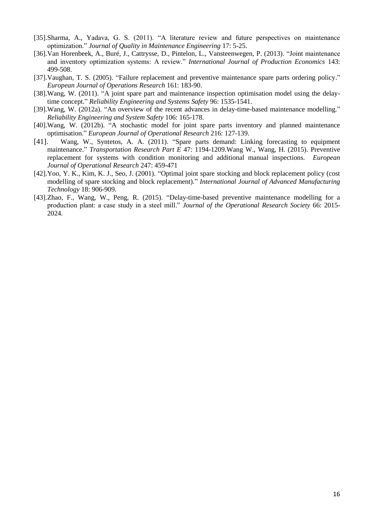- [35].Sharma, A., Yadava, G. S. (2011). "A literature review and future perspectives on maintenance optimization." *Journal of Quality in Maintenance Engineering* 17: 5-25.
- [36].Van Horenbeek, A., Buré, J., Cattrysse, D., Pintelon, L., Vansteenwegen, P. (2013). "Joint maintenance and inventory optimization systems: A review." *International Journal of Production Economics* 143: 499-508.
- [37].Vaughan, T. S. (2005). "Failure replacement and preventive maintenance spare parts ordering policy." *European Journal of Operations Research* 161: 183-90.
- [38].Wang, W. (2011). "A joint spare part and maintenance inspection optimisation model using the delaytime concept." *Reliability Engineering and Systems Safety* 96: 1535-1541.
- [39].Wang, W. (2012a). "An overview of the recent advances in delay-time-based maintenance modelling." *Reliability Engineering and System Safety* 106: 165-178.
- [40].Wang, W. (2012b). "A stochastic model for joint spare parts inventory and planned maintenance optimisation." *European Journal of Operational Research* 216: 127-139.
- [41]. Wang, W., Syntetos, A. A. (2011). "Spare parts demand: Linking forecasting to equipment maintenance." *Transportation Research Part E* 47: 1194-1209.Wang W., Wang, H. (2015). Preventive replacement for systems with condition monitoring and additional manual inspections. *European Journal of Operational Research* 247: 459-471
- [42].Yoo, Y. K., Kim, K. J., Seo, J. (2001). "Optimal joint spare stocking and block replacement policy (cost modelling of spare stocking and block replacement)." *International Journal of Advanced Manufacturing Technology* 18: 906-909.
- [43].Zhao, F., Wang, W., Peng, R. (2015). "Delay-time-based preventive maintenance modelling for a production plant: a case study in a steel mill." *Journal of the Operational Research Society* 66: 2015- 2024.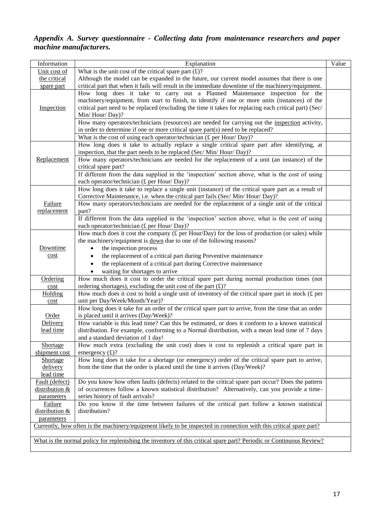## *Appendix A. Survey questionnaire - Collecting data from maintenance researchers and paper machine manufacturers.*

| Information                                                                                                         | Explanation                                                                                                                                                                                                                                                                                                                                                                     | Value |  |  |  |  |
|---------------------------------------------------------------------------------------------------------------------|---------------------------------------------------------------------------------------------------------------------------------------------------------------------------------------------------------------------------------------------------------------------------------------------------------------------------------------------------------------------------------|-------|--|--|--|--|
| Unit cost of                                                                                                        | What is the unit cost of the critical spare part $(E)$ ?                                                                                                                                                                                                                                                                                                                        |       |  |  |  |  |
| the critical                                                                                                        | Although the model can be expanded in the future, our current model assumes that there is one                                                                                                                                                                                                                                                                                   |       |  |  |  |  |
| spare part                                                                                                          | critical part that when it fails will result in the immediate downtime of the machinery/equipment.                                                                                                                                                                                                                                                                              |       |  |  |  |  |
| Inspection                                                                                                          | How long does it take to carry out a Planned Maintenance inspection for the<br>machinery/equipment, from start to finish, to identify if one or more units (instances) of the<br>critical part need to be replaced (excluding the time it takes for replacing each critical part) (Sec/<br>Min/Hour/Day)?                                                                       |       |  |  |  |  |
|                                                                                                                     | How many operators/technicians (resources) are needed for carrying out the inspection activity,<br>in order to determine if one or more critical spare part(s) need to be replaced?                                                                                                                                                                                             |       |  |  |  |  |
|                                                                                                                     | What is the cost of using each operator/technician $(E \text{ per Hour}/\text{Day})$ ?                                                                                                                                                                                                                                                                                          |       |  |  |  |  |
|                                                                                                                     | How long does it take to actually replace a single critical spare part after identifying, at<br>inspection, that the part needs to be replaced (Sec/Min/Hour/Day)?                                                                                                                                                                                                              |       |  |  |  |  |
| Replacement                                                                                                         | How many operators/technicians are needed for the replacement of a unit (an instance) of the<br>critical spare part?                                                                                                                                                                                                                                                            |       |  |  |  |  |
|                                                                                                                     | If different from the data supplied in the 'inspection' section above, what is the cost of using<br>each operator/technician (£ per Hour/ Day)?                                                                                                                                                                                                                                 |       |  |  |  |  |
|                                                                                                                     | How long does it take to replace a single unit (instance) of the critical spare part as a result of<br>Corrective Maintenance, i.e. when the critical part fails (Sec/Min/Hour/Day)?                                                                                                                                                                                            |       |  |  |  |  |
| Failure<br>replacement                                                                                              | How many operators/technicians are needed for the replacement of a single unit of the critical<br>part?                                                                                                                                                                                                                                                                         |       |  |  |  |  |
|                                                                                                                     | If different from the data supplied in the 'inspection' section above, what is the cost of using<br>each operator/technician (£ per Hour/ Day)?                                                                                                                                                                                                                                 |       |  |  |  |  |
| Downtime<br><u>cost</u>                                                                                             | How much does it cost the company (£ per Hour/Day) for the loss of production (or sales) while<br>the machinery/equipment is down due to one of the following reasons?<br>the inspection process<br>$\bullet$<br>the replacement of a critical part during Preventive maintenance<br>$\bullet$<br>the replacement of a critical part during Corrective maintenance<br>$\bullet$ |       |  |  |  |  |
|                                                                                                                     | waiting for shortages to arrive                                                                                                                                                                                                                                                                                                                                                 |       |  |  |  |  |
| Ordering<br>cost                                                                                                    | How much does it cost to order the critical spare part during normal production times (not<br>ordering shortages), excluding the unit cost of the part $(f)$ ?                                                                                                                                                                                                                  |       |  |  |  |  |
| Holding<br>cost                                                                                                     | How much does it cost to hold a single unit of inventory of the critical spare part in stock $(E$ per<br>unit per Day/Week/Month/Year)?                                                                                                                                                                                                                                         |       |  |  |  |  |
| Order                                                                                                               | How long does it take for an order of the critical spare part to arrive, from the time that an order<br>is placed until it arrives (Day/Week)?                                                                                                                                                                                                                                  |       |  |  |  |  |
| Delivery<br>lead time                                                                                               | How variable is this lead time? Can this be estimated, or does it conform to a known statistical<br>distribution. For example, conforming to a Normal distribution, with a mean lead time of 7 days<br>and a standard deviation of 1 day!                                                                                                                                       |       |  |  |  |  |
| Shortage<br>shipment cost                                                                                           | How much extra (excluding the unit cost) does it cost to replenish a critical spare part in<br>emergency $(f)$ ?                                                                                                                                                                                                                                                                |       |  |  |  |  |
| Shortage<br>delivery<br>lead time                                                                                   | How long does it take for a shortage (or emergency) order of the critical spare part to arrive,<br>from the time that the order is placed until the time it arrives (Day/Week)?                                                                                                                                                                                                 |       |  |  |  |  |
| Fault (defect)<br>distribution &<br>parameters                                                                      | Do you know how often faults (defects) related to the critical spare part occur? Does the pattern<br>of occurrences follow a known statistical distribution? Alternatively, can you provide a time-<br>series history of fault arrivals?                                                                                                                                        |       |  |  |  |  |
| Failure<br>distribution &<br>parameters                                                                             | Do you know if the time between failures of the critical part follow a known statistical<br>distribution?                                                                                                                                                                                                                                                                       |       |  |  |  |  |
| Currently, how often is the machinery/equipment likely to be inspected in connection with this critical spare part? |                                                                                                                                                                                                                                                                                                                                                                                 |       |  |  |  |  |
|                                                                                                                     | What is the normal policy for replenishing the inventory of this critical spare part? Periodic or Continuous Review?                                                                                                                                                                                                                                                            |       |  |  |  |  |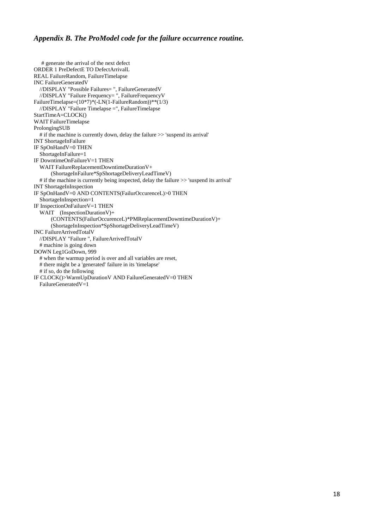#### *Appendix B. The ProModel code for the failure occurrence routine.*

 # generate the arrival of the next defect ORDER 1 PreDefectE TO DefectArrivalL REAL FailureRandom, FailureTimelapse INC FailureGeneratedV //DISPLAY "Possible Failures= ", FailureGeneratedV //DISPLAY "Failure Frequency= ", FailureFrequencyV FailureTimelapse=(10\*7)\*(-LN(1-FailureRandom))\*\*(1/3) //DISPLAY "Failure Timelapse =", FailureTimelapse StartTimeA=CLOCK() WAIT FailureTimelapse ProlongingSUB # if the machine is currently down, delay the failure >> 'suspend its arrival' INT ShortageInFailure IF SpOnHandV=0 THEN ShortageInFailure=1 IF DowntimeOnFailureV=1 THEN WAIT FailureReplacementDowntimeDurationV+ (ShortageInFailure\*SpShortageDeliveryLeadTimeV) # if the machine is currently being inspected, delay the failure >> 'suspend its arrival' INT ShortageInInspection IF SpOnHandV=0 AND CONTENTS(FailurOccurenceL)>0 THEN ShortageInInspection=1 IF InspectionOnFailureV=1 THEN WAIT (InspectionDurationV)+ (CONTENTS(FailurOccurenceL)\*PMReplacementDowntimeDurationV)+ (ShortageInInspection\*SpShortageDeliveryLeadTimeV) INC FailureArrivedTotalV //DISPLAY "Failure ", FailureArrivedTotalV # machine is going down DOWN Leg1GoDown, 999 # when the warmup period is over and all variables are reset, # there might be a 'generated' failure in its 'timelapse' # if so, do the following IF CLOCK()>WarmUpDurationV AND FailureGeneratedV=0 THEN FailureGeneratedV=1